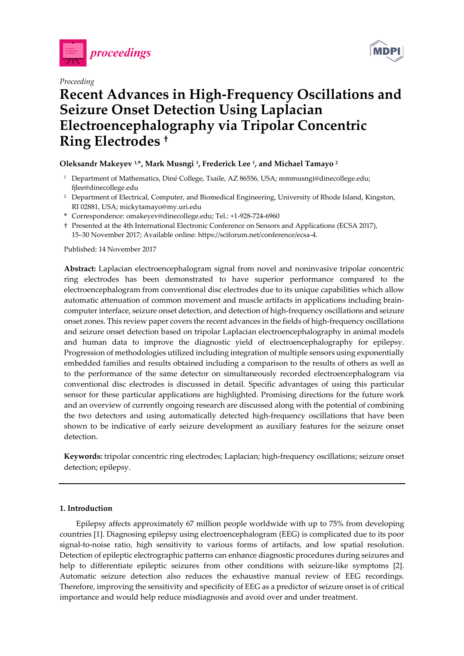

*Proceeding* 



# **Recent Advances in High-Frequency Oscillations and Seizure Onset Detection Using Laplacian Electroencephalography via Tripolar Concentric Ring Electrodes †**

## **Oleksandr Makeyev 1,\*, Mark Musngi 1, Frederick Lee 1, and Michael Tamayo 2**

- <sup>1</sup> Department of Mathematics, Diné College, Tsaile, AZ 86556, USA; mmmusngi@dinecollege.edu; fjlee@dinecollege.edu
- <sup>2</sup> Department of Electrical, Computer, and Biomedical Engineering, University of Rhode Island, Kingston, RI 02881, USA; mickytamayo@my.uri.edu
- **\*** Correspondence: omakeyev@dinecollege.edu; Tel.: +1-928-724-6960
- † Presented at the 4th International Electronic Conference on Sensors and Applications (ECSA 2017), 15–30 November 2017; Available online: https://sciforum.net/conference/ecsa-4.

Published: 14 November 2017

**Abstract:** Laplacian electroencephalogram signal from novel and noninvasive tripolar concentric ring electrodes has been demonstrated to have superior performance compared to the electroencephalogram from conventional disc electrodes due to its unique capabilities which allow automatic attenuation of common movement and muscle artifacts in applications including braincomputer interface, seizure onset detection, and detection of high-frequency oscillations and seizure onset zones. This review paper covers the recent advances in the fields of high-frequency oscillations and seizure onset detection based on tripolar Laplacian electroencephalography in animal models and human data to improve the diagnostic yield of electroencephalography for epilepsy. Progression of methodologies utilized including integration of multiple sensors using exponentially embedded families and results obtained including a comparison to the results of others as well as to the performance of the same detector on simultaneously recorded electroencephalogram via conventional disc electrodes is discussed in detail. Specific advantages of using this particular sensor for these particular applications are highlighted. Promising directions for the future work and an overview of currently ongoing research are discussed along with the potential of combining the two detectors and using automatically detected high-frequency oscillations that have been shown to be indicative of early seizure development as auxiliary features for the seizure onset detection.

**Keywords:** tripolar concentric ring electrodes; Laplacian; high-frequency oscillations; seizure onset detection; epilepsy.

## **1. Introduction**

Epilepsy affects approximately 67 million people worldwide with up to 75% from developing countries [1]. Diagnosing epilepsy using electroencephalogram (EEG) is complicated due to its poor signal-to-noise ratio, high sensitivity to various forms of artifacts, and low spatial resolution. Detection of epileptic electrographic patterns can enhance diagnostic procedures during seizures and help to differentiate epileptic seizures from other conditions with seizure-like symptoms [2]. Automatic seizure detection also reduces the exhaustive manual review of EEG recordings. Therefore, improving the sensitivity and specificity of EEG as a predictor of seizure onset is of critical importance and would help reduce misdiagnosis and avoid over and under treatment.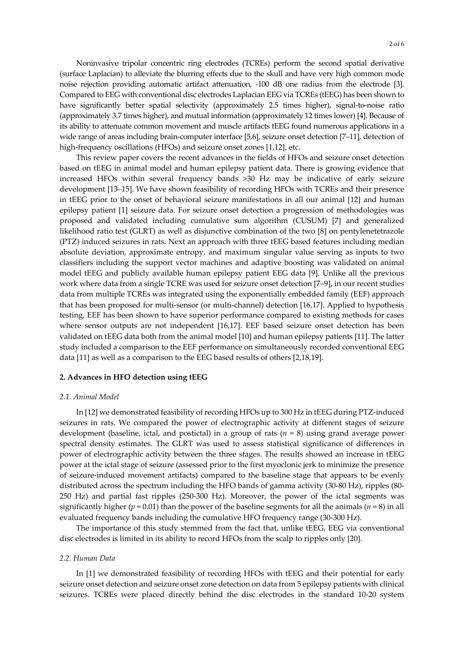Noninvasive tripolar concentric ring electrodes (TCREs) perform the second spatial derivative (surface Laplacian) to alleviate the blurring effects due to the skull and have very high common mode noise rejection providing automatic artifact attenuation, -100 dB one radius from the electrode [3]. Compared to EEG with conventional disc electrodes Laplacian EEG via TCREs (tEEG) has been shown to have significantly better spatial selectivity (approximately 2.5 times higher), signal-to-noise ratio (approximately 3.7 times higher), and mutual information (approximately 12 times lower) [4]. Because of its ability to attenuate common movement and muscle artifacts tEEG found numerous applications in a wide range of areas including brain-computer interface [5,6], seizure onset detection [7–11], detection of high-frequency oscillations (HFOs) and seizure onset zones [1,12], etc.

This review paper covers the recent advances in the fields of HFOs and seizure onset detection based on tEEG in animal model and human epilepsy patient data. There is growing evidence that increased HFOs within several frequency bands >30 Hz may be indicative of early seizure development [13–15]. We have shown feasibility of recording HFOs with TCREs and their presence in tEEG prior to the onset of behavioral seizure manifestations in all our animal [12] and human epilepsy patient [1] seizure data. For seizure onset detection a progression of methodologies was proposed and validated including cumulative sum algorithm (CUSUM) [7] and generalized likelihood ratio test (GLRT) as well as disjunctive combination of the two [8] on pentylenetetrazole (PTZ) induced seizures in rats. Next an approach with three tEEG based features including median absolute deviation, approximate entropy, and maximum singular value serving as inputs to two classifiers including the support vector machines and adaptive boosting was validated on animal model tEEG and publicly available human epilepsy patient EEG data [9]. Unlike all the previous work where data from a single TCRE was used for seizure onset detection [7–9], in our recent studies data from multiple TCREs was integrated using the exponentially embedded family (EEF) approach that has been proposed for multi-sensor (or multi-channel) detection [16,17]. Applied to hypothesis testing, EEF has been shown to have superior performance compared to existing methods for cases where sensor outputs are not independent [16,17]. EEF based seizure onset detection has been validated on tEEG data both from the animal model [10] and human epilepsy patients [11]. The latter study included a comparison to the EEF performance on simultaneously recorded conventional EEG data [11] as well as a comparison to the EEG based results of others [2,18,19].

## **2. Advances in HFO detection using tEEG**

## *2.1. Animal Model*

In [12] we demonstrated feasibility of recording HFOs up to 300 Hz in tEEG during PTZ-induced seizures in rats. We compared the power of electrographic activity at different stages of seizure development (baseline, ictal, and postictal) in a group of rats (*n* = 8) using grand average power spectral density estimates. The GLRT was used to assess statistical significance of differences in power of electrographic activity between the three stages. The results showed an increase in tEEG power at the ictal stage of seizure (assessed prior to the first myoclonic jerk to minimize the presence of seizure-induced movement artifacts) compared to the baseline stage that appears to be evenly distributed across the spectrum including the HFO bands of gamma activity (30-80 Hz), ripples (80- 250 Hz) and partial fast ripples (250-300 Hz). Moreover, the power of the ictal segments was significantly higher ( $p = 0.01$ ) than the power of the baseline segments for all the animals ( $n = 8$ ) in all evaluated frequency bands including the cumulative HFO frequency range (30-300 Hz).

The importance of this study stemmed from the fact that, unlike tEEG, EEG via conventional disc electrodes is limited in its ability to record HFOs from the scalp to ripples only [20].

## *2.2. Human Data*

In [1] we demonstrated feasibility of recording HFOs with tEEG and their potential for early seizure onset detection and seizure onset zone detection on data from 5 epilepsy patients with clinical seizures. TCREs were placed directly behind the disc electrodes in the standard 10-20 system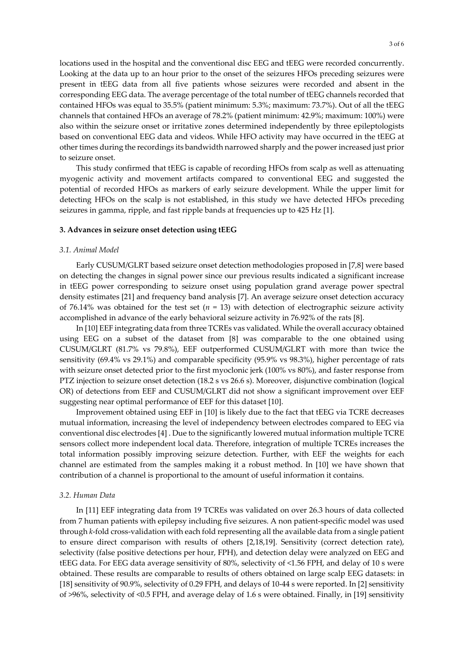locations used in the hospital and the conventional disc EEG and tEEG were recorded concurrently. Looking at the data up to an hour prior to the onset of the seizures HFOs preceding seizures were present in tEEG data from all five patients whose seizures were recorded and absent in the corresponding EEG data. The average percentage of the total number of tEEG channels recorded that contained HFOs was equal to 35.5% (patient minimum: 5.3%; maximum: 73.7%). Out of all the tEEG channels that contained HFOs an average of 78.2% (patient minimum: 42.9%; maximum: 100%) were also within the seizure onset or irritative zones determined independently by three epileptologists based on conventional EEG data and videos. While HFO activity may have occurred in the tEEG at other times during the recordings its bandwidth narrowed sharply and the power increased just prior to seizure onset.

This study confirmed that tEEG is capable of recording HFOs from scalp as well as attenuating myogenic activity and movement artifacts compared to conventional EEG and suggested the potential of recorded HFOs as markers of early seizure development. While the upper limit for detecting HFOs on the scalp is not established, in this study we have detected HFOs preceding seizures in gamma, ripple, and fast ripple bands at frequencies up to 425 Hz [1].

#### **3. Advances in seizure onset detection using tEEG**

#### *3.1. Animal Model*

Early CUSUM/GLRT based seizure onset detection methodologies proposed in [7,8] were based on detecting the changes in signal power since our previous results indicated a significant increase in tEEG power corresponding to seizure onset using population grand average power spectral density estimates [21] and frequency band analysis [7]. An average seizure onset detection accuracy of 76.14% was obtained for the test set  $(n = 13)$  with detection of electrographic seizure activity accomplished in advance of the early behavioral seizure activity in 76.92% of the rats [8].

In [10] EEF integrating data from three TCREs vas validated. While the overall accuracy obtained using EEG on a subset of the dataset from [8] was comparable to the one obtained using CUSUM/GLRT (81.7% vs 79.8%), EEF outperformed CUSUM/GLRT with more than twice the sensitivity (69.4% vs 29.1%) and comparable specificity (95.9% vs 98.3%), higher percentage of rats with seizure onset detected prior to the first myoclonic jerk (100% vs 80%), and faster response from PTZ injection to seizure onset detection (18.2 s vs 26.6 s). Moreover, disjunctive combination (logical OR) of detections from EEF and CUSUM/GLRT did not show a significant improvement over EEF suggesting near optimal performance of EEF for this dataset [10].

Improvement obtained using EEF in [10] is likely due to the fact that tEEG via TCRE decreases mutual information, increasing the level of independency between electrodes compared to EEG via conventional disc electrodes [4] . Due to the significantly lowered mutual information multiple TCRE sensors collect more independent local data. Therefore, integration of multiple TCREs increases the total information possibly improving seizure detection. Further, with EEF the weights for each channel are estimated from the samples making it a robust method. In [10] we have shown that contribution of a channel is proportional to the amount of useful information it contains.

#### *3.2. Human Data*

In [11] EEF integrating data from 19 TCREs was validated on over 26.3 hours of data collected from 7 human patients with epilepsy including five seizures. A non patient-specific model was used through *k*-fold cross-validation with each fold representing all the available data from a single patient to ensure direct comparison with results of others [2,18,19]. Sensitivity (correct detection rate), selectivity (false positive detections per hour, FPH), and detection delay were analyzed on EEG and tEEG data. For EEG data average sensitivity of 80%, selectivity of <1.56 FPH, and delay of 10 s were obtained. These results are comparable to results of others obtained on large scalp EEG datasets: in [18] sensitivity of 90.9%, selectivity of 0.29 FPH, and delays of 10-44 s were reported. In [2] sensitivity of >96%, selectivity of <0.5 FPH, and average delay of 1.6 s were obtained. Finally, in [19] sensitivity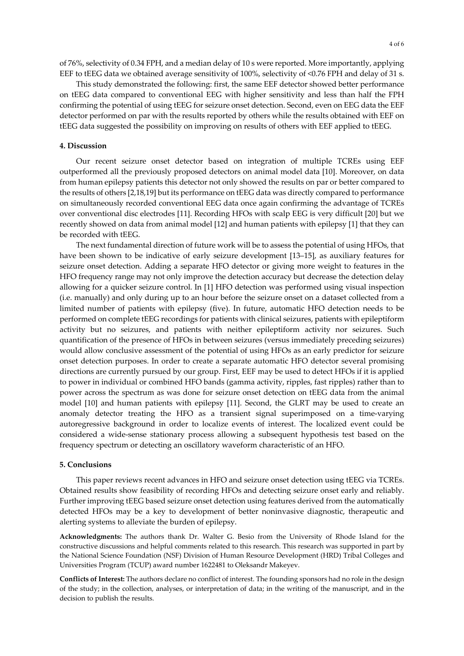of 76%, selectivity of 0.34 FPH, and a median delay of 10 s were reported. More importantly, applying EEF to tEEG data we obtained average sensitivity of 100%, selectivity of <0.76 FPH and delay of 31 s.

This study demonstrated the following: first, the same EEF detector showed better performance on tEEG data compared to conventional EEG with higher sensitivity and less than half the FPH confirming the potential of using tEEG for seizure onset detection. Second, even on EEG data the EEF detector performed on par with the results reported by others while the results obtained with EEF on tEEG data suggested the possibility on improving on results of others with EEF applied to tEEG.

## **4. Discussion**

Our recent seizure onset detector based on integration of multiple TCREs using EEF outperformed all the previously proposed detectors on animal model data [10]. Moreover, on data from human epilepsy patients this detector not only showed the results on par or better compared to the results of others [2,18,19] but its performance on tEEG data was directly compared to performance on simultaneously recorded conventional EEG data once again confirming the advantage of TCREs over conventional disc electrodes [11]. Recording HFOs with scalp EEG is very difficult [20] but we recently showed on data from animal model [12] and human patients with epilepsy [1] that they can be recorded with tEEG.

The next fundamental direction of future work will be to assess the potential of using HFOs, that have been shown to be indicative of early seizure development [13–15], as auxiliary features for seizure onset detection. Adding a separate HFO detector or giving more weight to features in the HFO frequency range may not only improve the detection accuracy but decrease the detection delay allowing for a quicker seizure control. In [1] HFO detection was performed using visual inspection (i.e. manually) and only during up to an hour before the seizure onset on a dataset collected from a limited number of patients with epilepsy (five). In future, automatic HFO detection needs to be performed on complete tEEG recordings for patients with clinical seizures, patients with epileptiform activity but no seizures, and patients with neither epileptiform activity nor seizures. Such quantification of the presence of HFOs in between seizures (versus immediately preceding seizures) would allow conclusive assessment of the potential of using HFOs as an early predictor for seizure onset detection purposes. In order to create a separate automatic HFO detector several promising directions are currently pursued by our group. First, EEF may be used to detect HFOs if it is applied to power in individual or combined HFO bands (gamma activity, ripples, fast ripples) rather than to power across the spectrum as was done for seizure onset detection on tEEG data from the animal model [10] and human patients with epilepsy [11]. Second, the GLRT may be used to create an anomaly detector treating the HFO as a transient signal superimposed on a time-varying autoregressive background in order to localize events of interest. The localized event could be considered a wide-sense stationary process allowing a subsequent hypothesis test based on the frequency spectrum or detecting an oscillatory waveform characteristic of an HFO.

#### **5. Conclusions**

This paper reviews recent advances in HFO and seizure onset detection using tEEG via TCREs. Obtained results show feasibility of recording HFOs and detecting seizure onset early and reliably. Further improving tEEG based seizure onset detection using features derived from the automatically detected HFOs may be a key to development of better noninvasive diagnostic, therapeutic and alerting systems to alleviate the burden of epilepsy.

**Acknowledgments:** The authors thank Dr. Walter G. Besio from the University of Rhode Island for the constructive discussions and helpful comments related to this research. This research was supported in part by the National Science Foundation (NSF) Division of Human Resource Development (HRD) Tribal Colleges and Universities Program (TCUP) award number 1622481 to Oleksandr Makeyev.

**Conflicts of Interest:** The authors declare no conflict of interest. The founding sponsors had no role in the design of the study; in the collection, analyses, or interpretation of data; in the writing of the manuscript, and in the decision to publish the results.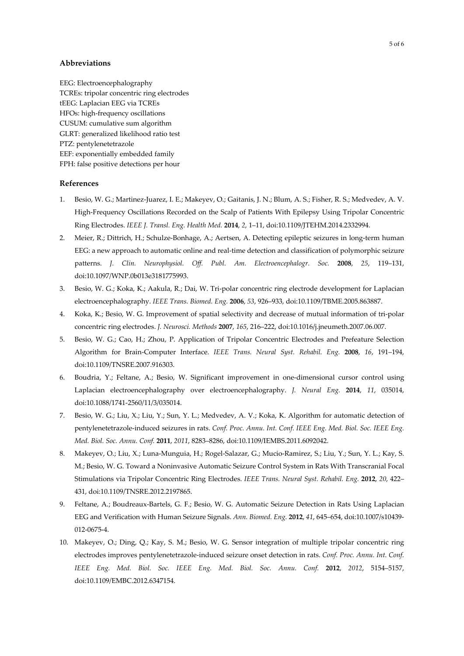## **Abbreviations**

EEG: Electroencephalography TCREs: tripolar concentric ring electrodes tEEG: Laplacian EEG via TCREs HFOs: high-frequency oscillations CUSUM: cumulative sum algorithm GLRT: generalized likelihood ratio test PTZ: pentylenetetrazole EEF: exponentially embedded family FPH: false positive detections per hour

## **References**

- 1. Besio, W. G.; Martinez-Juarez, I. E.; Makeyev, O.; Gaitanis, J. N.; Blum, A. S.; Fisher, R. S.; Medvedev, A. V. High-Frequency Oscillations Recorded on the Scalp of Patients With Epilepsy Using Tripolar Concentric Ring Electrodes. *IEEE J. Transl. Eng. Health Med.* **2014**, *2*, 1–11, doi:10.1109/JTEHM.2014.2332994.
- 2. Meier, R.; Dittrich, H.; Schulze-Bonhage, A.; Aertsen, A. Detecting epileptic seizures in long-term human EEG: a new approach to automatic online and real-time detection and classification of polymorphic seizure patterns. *J. Clin. Neurophysiol. Off. Publ. Am. Electroencephalogr. Soc.* **2008**, *25*, 119–131, doi:10.1097/WNP.0b013e3181775993.
- 3. Besio, W. G.; Koka, K.; Aakula, R.; Dai, W. Tri-polar concentric ring electrode development for Laplacian electroencephalography. *IEEE Trans. Biomed. Eng.* **2006**, *53*, 926–933, doi:10.1109/TBME.2005.863887.
- 4. Koka, K.; Besio, W. G. Improvement of spatial selectivity and decrease of mutual information of tri-polar concentric ring electrodes. *J. Neurosci. Methods* **2007**, *165*, 216–222, doi:10.1016/j.jneumeth.2007.06.007.
- 5. Besio, W. G.; Cao, H.; Zhou, P. Application of Tripolar Concentric Electrodes and Prefeature Selection Algorithm for Brain-Computer Interface. *IEEE Trans. Neural Syst. Rehabil. Eng.* **2008**, *16*, 191–194, doi:10.1109/TNSRE.2007.916303.
- 6. Boudria, Y.; Feltane, A.; Besio, W. Significant improvement in one-dimensional cursor control using Laplacian electroencephalography over electroencephalography. *J. Neural Eng.* **2014**, *11*, 035014, doi:10.1088/1741-2560/11/3/035014.
- 7. Besio, W. G.; Liu, X.; Liu, Y.; Sun, Y. L.; Medvedev, A. V.; Koka, K. Algorithm for automatic detection of pentylenetetrazole-induced seizures in rats. *Conf. Proc. Annu. Int. Conf. IEEE Eng. Med. Biol. Soc. IEEE Eng. Med. Biol. Soc. Annu. Conf.* **2011**, *2011*, 8283–8286, doi:10.1109/IEMBS.2011.6092042.
- 8. Makeyev, O.; Liu, X.; Luna-Munguia, H.; Rogel-Salazar, G.; Mucio-Ramirez, S.; Liu, Y.; Sun, Y. L.; Kay, S. M.; Besio, W. G. Toward a Noninvasive Automatic Seizure Control System in Rats With Transcranial Focal Stimulations via Tripolar Concentric Ring Electrodes. *IEEE Trans. Neural Syst. Rehabil. Eng.* **2012**, *20*, 422– 431, doi:10.1109/TNSRE.2012.2197865.
- 9. Feltane, A.; Boudreaux-Bartels, G. F.; Besio, W. G. Automatic Seizure Detection in Rats Using Laplacian EEG and Verification with Human Seizure Signals. *Ann. Biomed. Eng.* **2012**, *41*, 645–654, doi:10.1007/s10439- 012-0675-4.
- 10. Makeyev, O.; Ding, Q.; Kay, S. M.; Besio, W. G. Sensor integration of multiple tripolar concentric ring electrodes improves pentylenetetrazole-induced seizure onset detection in rats. *Conf. Proc. Annu. Int. Conf. IEEE Eng. Med. Biol. Soc. IEEE Eng. Med. Biol. Soc. Annu. Conf.* **2012**, *2012*, 5154–5157, doi:10.1109/EMBC.2012.6347154.